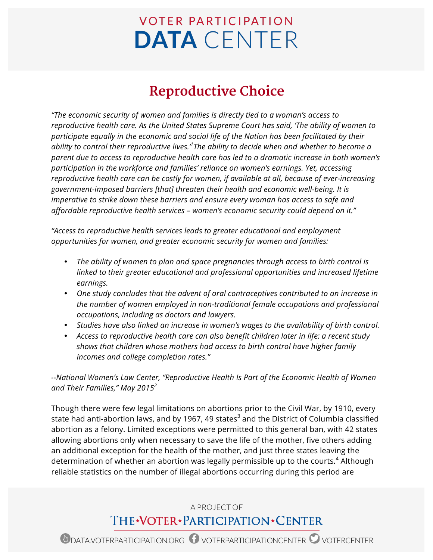# **VOTER PARTICIPATION DATA** CENTER

# **Reproductive Choice**

*"The economic security of women and families is directly tied to a woman's access to reproductive health care. As the United States Supreme Court has said, 'The ability of women to participate equally in the economic and social life of the Nation has been facilitated by their ability to control their reproductive lives.'<sup>1</sup> The ability to decide when and whether to become a parent due to access to reproductive health care has led to a dramatic increase in both women's participation in the workforce and families' reliance on women's earnings. Yet, accessing reproductive health care can be costly for women, if available at all, because of ever-increasing government-imposed barriers [that] threaten their health and economic well-being. It is imperative to strike down these barriers and ensure every woman has access to safe and affordable reproductive health services – women's economic security could depend on it."*

*"Access to reproductive health services leads to greater educational and employment opportunities for women, and greater economic security for women and families:*

- *The ability of women to plan and space pregnancies through access to birth control is linked to their greater educational and professional opportunities and increased lifetime earnings.*
- *One study concludes that the advent of oral contraceptives contributed to an increase in the number of women employed in non-traditional female occupations and professional occupations, including as doctors and lawyers.*
- *Studies have also linked an increase in women's wages to the availability of birth control.*
- *Access to reproductive health care can also benefit children later in life: a recent study shows that children whose mothers had access to birth control have higher family incomes and college completion rates."*

*--National Women's Law Center, "Reproductive Health Is Part of the Economic Health of Women and Their Families," May 2015<sup>2</sup>*

Though there were few legal limitations on abortions prior to the Civil War, by 1910, every state had anti-abortion laws, and by 1967, 49 states<sup>3</sup> and the District of Columbia classified abortion as a felony. Limited exceptions were permitted to this general ban, with 42 states allowing abortions only when necessary to save the life of the mother, five others adding an additional exception for the health of the mother, and just three states leaving the determination of whether an abortion was legally permissible up to the courts.<sup>4</sup> Although reliable statistics on the number of illegal abortions occurring during this period are

## A PROJECT OF THE\*VOTER\*PARTICIPATION\*CENTER

**D** DATA.VOTERPARTICIPATION.ORG  $\bullet$  voterparticipation CENTER  $\bullet$  votercenter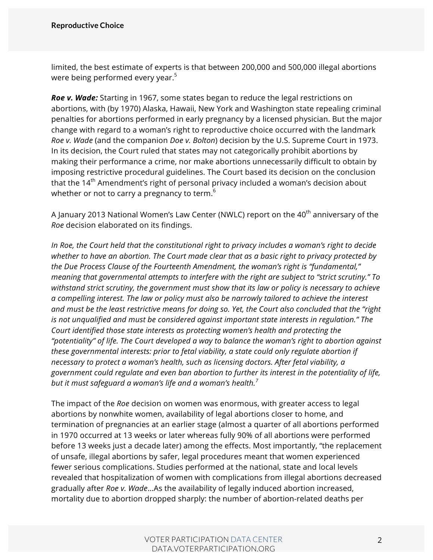limited, the best estimate of experts is that between 200,000 and 500,000 illegal abortions were being performed every year.<sup>5</sup>

*Roe v. Wade:* Starting in 1967, some states began to reduce the legal restrictions on abortions, with (by 1970) Alaska, Hawaii, New York and Washington state repealing criminal penalties for abortions performed in early pregnancy by a licensed physician. But the major change with regard to a woman's right to reproductive choice occurred with the landmark *Roe v. Wade* (and the companion *Doe v. Bolton*) decision by the U.S. Supreme Court in 1973. In its decision, the Court ruled that states may not categorically prohibit abortions by making their performance a crime, nor make abortions unnecessarily difficult to obtain by imposing restrictive procedural guidelines. The Court based its decision on the conclusion that the  $14<sup>th</sup>$  Amendment's right of personal privacy included a woman's decision about whether or not to carry a pregnancy to term.<sup>6</sup>

A January 2013 National Women's Law Center (NWLC) report on the  $40<sup>th</sup>$  anniversary of the *Roe* decision elaborated on its findings.

*In Roe, the Court held that the constitutional right to privacy includes a woman's right to decide whether to have an abortion. The Court made clear that as a basic right to privacy protected by the Due Process Clause of the Fourteenth Amendment, the woman's right is "fundamental," meaning that governmental attempts to interfere with the right are subject to "strict scrutiny." To withstand strict scrutiny, the government must show that its law or policy is necessary to achieve a compelling interest. The law or policy must also be narrowly tailored to achieve the interest and must be the least restrictive means for doing so. Yet, the Court also concluded that the "right is not unqualified and must be considered against important state interests in regulation." The Court identified those state interests as protecting women's health and protecting the "potentiality" of life. The Court developed a way to balance the woman's right to abortion against these governmental interests: prior to fetal viability, a state could only regulate abortion if necessary to protect a woman's health, such as licensing doctors. After fetal viability, a government could regulate and even ban abortion to further its interest in the potentiality of life, but it must safeguard a woman's life and a woman's health.<sup>7</sup>*

The impact of the *Roe* decision on women was enormous, with greater access to legal abortions by nonwhite women, availability of legal abortions closer to home, and termination of pregnancies at an earlier stage (almost a quarter of all abortions performed in 1970 occurred at 13 weeks or later whereas fully 90% of all abortions were performed before 13 weeks just a decade later) among the effects. Most importantly, "the replacement of unsafe, illegal abortions by safer, legal procedures meant that women experienced fewer serious complications. Studies performed at the national, state and local levels revealed that hospitalization of women with complications from illegal abortions decreased gradually after *Roe v. Wade*…As the availability of legally induced abortion increased, mortality due to abortion dropped sharply: the number of abortion-related deaths per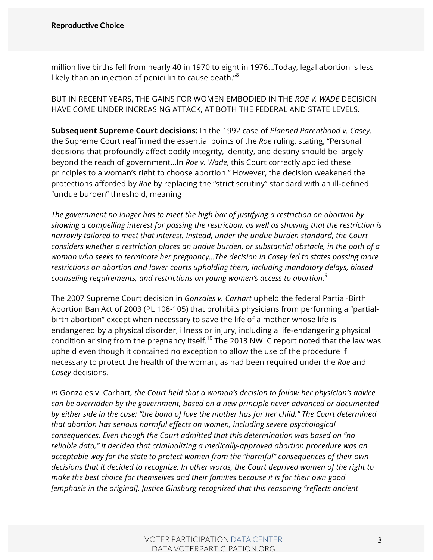million live births fell from nearly 40 in 1970 to eight in 1976…Today, legal abortion is less likely than an injection of penicillin to cause death."<sup>8</sup>

BUT IN RECENT YEARS, THE GAINS FOR WOMEN EMBODIED IN THE *ROE V. WADE* DECISION HAVE COME UNDER INCREASING ATTACK, AT BOTH THE FEDERAL AND STATE LEVELS.

**Subsequent Supreme Court decisions:** In the 1992 case of *Planned Parenthood v. Casey,* the Supreme Court reaffirmed the essential points of the *Roe* ruling, stating, "Personal decisions that profoundly affect bodily integrity, identity, and destiny should be largely beyond the reach of government…In *Roe v. Wade*, this Court correctly applied these principles to a woman's right to choose abortion." However, the decision weakened the protections afforded by *Roe* by replacing the "strict scrutiny" standard with an ill-defined "undue burden" threshold, meaning

*The government no longer has to meet the high bar of justifying a restriction on abortion by showing a compelling interest for passing the restriction, as well as showing that the restriction is narrowly tailored to meet that interest. Instead, under the undue burden standard, the Court considers whether a restriction places an undue burden, or substantial obstacle, in the path of a woman who seeks to terminate her pregnancy…The decision in Casey led to states passing more restrictions on abortion and lower courts upholding them, including mandatory delays, biased counseling requirements, and restrictions on young women's access to abortion.<sup>9</sup>*

The 2007 Supreme Court decision in *Gonzales v. Carhart* upheld the federal Partial-Birth Abortion Ban Act of 2003 (PL 108-105) that prohibits physicians from performing a "partialbirth abortion" except when necessary to save the life of a mother whose life is endangered by a physical disorder, illness or injury, including a life-endangering physical condition arising from the pregnancy itself.<sup>10</sup> The 2013 NWLC report noted that the law was upheld even though it contained no exception to allow the use of the procedure if necessary to protect the health of the woman, as had been required under the *Roe* and *Casey* decisions.

*In* Gonzales v. Carhart*, the Court held that a woman's decision to follow her physician's advice can be overridden by the government, based on a new principle never advanced or documented by either side in the case: "the bond of love the mother has for her child." The Court determined that abortion has serious harmful effects on women, including severe psychological consequences. Even though the Court admitted that this determination was based on "no reliable data," it decided that criminalizing a medically-approved abortion procedure was an acceptable way for the state to protect women from the "harmful" consequences of their own decisions that it decided to recognize. In other words, the Court deprived women of the right to make the best choice for themselves and their families because it is for their own good [emphasis in the original]. Justice Ginsburg recognized that this reasoning "reflects ancient*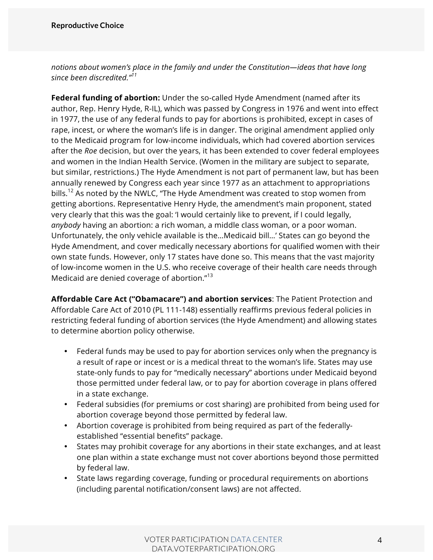*notions about women's place in the family and under the Constitution—ideas that have long since been discredited."<sup>11</sup>*

**Federal funding of abortion:** Under the so-called Hyde Amendment (named after its author, Rep. Henry Hyde, R-IL), which was passed by Congress in 1976 and went into effect in 1977, the use of any federal funds to pay for abortions is prohibited, except in cases of rape, incest, or where the woman's life is in danger. The original amendment applied only to the Medicaid program for low-income individuals, which had covered abortion services after the *Roe* decision, but over the years, it has been extended to cover federal employees and women in the Indian Health Service. (Women in the military are subject to separate, but similar, restrictions.) The Hyde Amendment is not part of permanent law, but has been annually renewed by Congress each year since 1977 as an attachment to appropriations bills.<sup>12</sup> As noted by the NWLC, "The Hyde Amendment was created to stop women from getting abortions. Representative Henry Hyde, the amendment's main proponent, stated very clearly that this was the goal: 'I would certainly like to prevent, if I could legally, *anybody* having an abortion: a rich woman, a middle class woman, or a poor woman. Unfortunately, the only vehicle available is the…Medicaid bill…' States can go beyond the Hyde Amendment, and cover medically necessary abortions for qualified women with their own state funds. However, only 17 states have done so. This means that the vast majority of low-income women in the U.S. who receive coverage of their health care needs through Medicaid are denied coverage of abortion."<sup>13</sup>

**Affordable Care Act ("Obamacare") and abortion services**: The Patient Protection and Affordable Care Act of 2010 (PL 111-148) essentially reaffirms previous federal policies in restricting federal funding of abortion services (the Hyde Amendment) and allowing states to determine abortion policy otherwise.

- Federal funds may be used to pay for abortion services only when the pregnancy is a result of rape or incest or is a medical threat to the woman's life. States may use state-only funds to pay for "medically necessary" abortions under Medicaid beyond those permitted under federal law, or to pay for abortion coverage in plans offered in a state exchange.
- Federal subsidies (for premiums or cost sharing) are prohibited from being used for abortion coverage beyond those permitted by federal law.
- Abortion coverage is prohibited from being required as part of the federallyestablished "essential benefits" package.
- States may prohibit coverage for any abortions in their state exchanges, and at least one plan within a state exchange must not cover abortions beyond those permitted by federal law.
- State laws regarding coverage, funding or procedural requirements on abortions (including parental notification/consent laws) are not affected.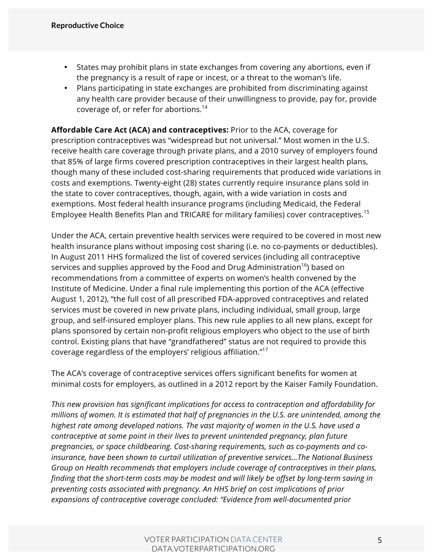- States may prohibit plans in state exchanges from covering any abortions, even if the pregnancy is a result of rape or incest, or a threat to the woman's life.
- Plans participating in state exchanges are prohibited from discriminating against any health care provider because of their unwillingness to provide, pay for, provide coverage of, or refer for abortions.14

**Affordable Care Act (ACA) and contraceptives:** Prior to the ACA, coverage for prescription contraceptives was "widespread but not universal." Most women in the U.S. receive health care coverage through private plans, and a 2010 survey of employers found that 85% of large firms covered prescription contraceptives in their largest health plans, though many of these included cost-sharing requirements that produced wide variations in costs and exemptions. Twenty-eight (28) states currently require insurance plans sold in the state to cover contraceptives, though, again, with a wide variation in costs and exemptions. Most federal health insurance programs (including Medicaid, the Federal Employee Health Benefits Plan and TRICARE for military families) cover contraceptives.<sup>15</sup>

Under the ACA, certain preventive health services were required to be covered in most new health insurance plans without imposing cost sharing (i.e. no co-payments or deductibles). In August 2011 HHS formalized the list of covered services (including all contraceptive services and supplies approved by the Food and Drug Administration<sup>16</sup>) based on recommendations from a committee of experts on women's health convened by the Institute of Medicine. Under a final rule implementing this portion of the ACA (effective August 1, 2012), "the full cost of all prescribed FDA-approved contraceptives and related services must be covered in new private plans, including individual, small group, large group, and self-insured employer plans. This new rule applies to all new plans, except for plans sponsored by certain non-profit religious employers who object to the use of birth control. Existing plans that have "grandfathered" status are not required to provide this coverage regardless of the employers' religious affiliation."17

The ACA's coverage of contraceptive services offers significant benefits for women at minimal costs for employers, as outlined in a 2012 report by the Kaiser Family Foundation.

*This new provision has significant implications for access to contraception and affordability for millions of women. It is estimated that half of pregnancies in the U.S. are unintended, among the highest rate among developed nations. The vast majority of women in the U.S. have used a contraceptive at some point in their lives to prevent unintended pregnancy, plan future pregnancies, or space childbearing. Cost-sharing requirements, such as co-payments and coinsurance, have been shown to curtail utilization of preventive services…The National Business Group on Health recommends that employers include coverage of contraceptives in their plans, finding that the short-term costs may be modest and will likely be offset by long-term saving in preventing costs associated with pregnancy. An HHS brief on cost implications of prior expansions of contraceptive coverage concluded: "Evidence from well-documented prior*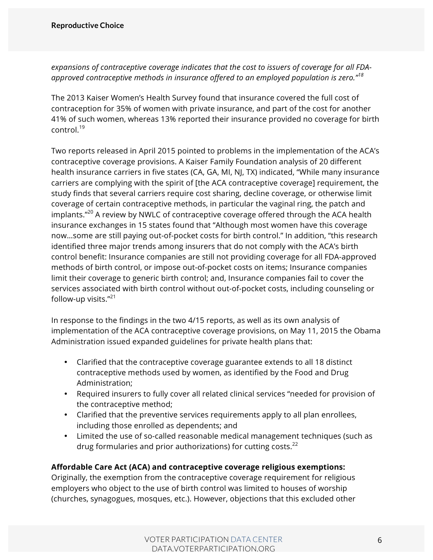*expansions of contraceptive coverage indicates that the cost to issuers of coverage for all FDAapproved contraceptive methods in insurance offered to an employed population is zero."<sup>18</sup>*

The 2013 Kaiser Women's Health Survey found that insurance covered the full cost of contraception for 35% of women with private insurance, and part of the cost for another 41% of such women, whereas 13% reported their insurance provided no coverage for birth control.<sup>19</sup>

Two reports released in April 2015 pointed to problems in the implementation of the ACA's contraceptive coverage provisions. A Kaiser Family Foundation analysis of 20 different health insurance carriers in five states (CA, GA, MI, NJ, TX) indicated, "While many insurance carriers are complying with the spirit of [the ACA contraceptive coverage] requirement, the study finds that several carriers require cost sharing, decline coverage, or otherwise limit coverage of certain contraceptive methods, in particular the vaginal ring, the patch and implants. $"^{20}$  A review by NWLC of contraceptive coverage offered through the ACA health insurance exchanges in 15 states found that "Although most women have this coverage now…some are still paying out-of-pocket costs for birth control." In addition, "this research identified three major trends among insurers that do not comply with the ACA's birth control benefit: Insurance companies are still not providing coverage for all FDA-approved methods of birth control, or impose out-of-pocket costs on items; Insurance companies limit their coverage to generic birth control; and, Insurance companies fail to cover the services associated with birth control without out-of-pocket costs, including counseling or follow-up visits. $"^{21}$ 

In response to the findings in the two 4/15 reports, as well as its own analysis of implementation of the ACA contraceptive coverage provisions, on May 11, 2015 the Obama Administration issued expanded guidelines for private health plans that:

- Clarified that the contraceptive coverage guarantee extends to all 18 distinct contraceptive methods used by women, as identified by the Food and Drug Administration;
- Required insurers to fully cover all related clinical services "needed for provision of the contraceptive method;
- Clarified that the preventive services requirements apply to all plan enrollees, including those enrolled as dependents; and
- Limited the use of so-called reasonable medical management techniques (such as drug formularies and prior authorizations) for cutting costs. $^{22}$

#### **Affordable Care Act (ACA) and contraceptive coverage religious exemptions:**

Originally, the exemption from the contraceptive coverage requirement for religious employers who object to the use of birth control was limited to houses of worship (churches, synagogues, mosques, etc.). However, objections that this excluded other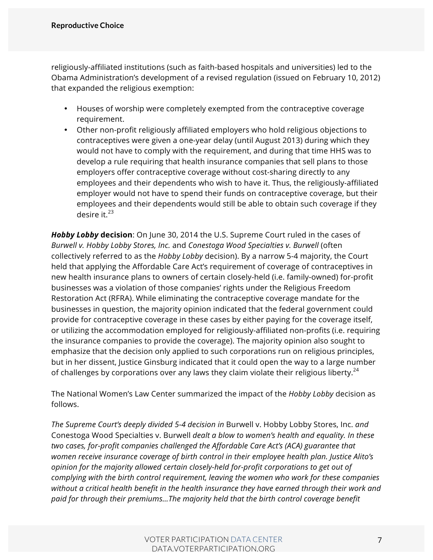religiously-affiliated institutions (such as faith-based hospitals and universities) led to the Obama Administration's development of a revised regulation (issued on February 10, 2012) that expanded the religious exemption:

- Houses of worship were completely exempted from the contraceptive coverage requirement.
- Other non-profit religiously affiliated employers who hold religious objections to contraceptives were given a one-year delay (until August 2013) during which they would not have to comply with the requirement, and during that time HHS was to develop a rule requiring that health insurance companies that sell plans to those employers offer contraceptive coverage without cost-sharing directly to any employees and their dependents who wish to have it. Thus, the religiously-affiliated employer would not have to spend their funds on contraceptive coverage, but their employees and their dependents would still be able to obtain such coverage if they desire it. $^{23}$

*Hobby Lobby* **decision**: On June 30, 2014 the U.S. Supreme Court ruled in the cases of *Burwell v. Hobby Lobby Stores, Inc.* and *Conestoga Wood Specialties v. Burwell* (often collectively referred to as the *Hobby Lobby* decision). By a narrow 5-4 majority, the Court held that applying the Affordable Care Act's requirement of coverage of contraceptives in new health insurance plans to owners of certain closely-held (i.e. family-owned) for-profit businesses was a violation of those companies' rights under the Religious Freedom Restoration Act (RFRA). While eliminating the contraceptive coverage mandate for the businesses in question, the majority opinion indicated that the federal government could provide for contraceptive coverage in these cases by either paying for the coverage itself, or utilizing the accommodation employed for religiously-affiliated non-profits (i.e. requiring the insurance companies to provide the coverage). The majority opinion also sought to emphasize that the decision only applied to such corporations run on religious principles, but in her dissent, Justice Ginsburg indicated that it could open the way to a large number of challenges by corporations over any laws they claim violate their religious liberty.<sup>24</sup>

The National Women's Law Center summarized the impact of the *Hobby Lobby* decision as follows.

*The Supreme Court's deeply divided 5-4 decision in* Burwell v. Hobby Lobby Stores, Inc. *and*  Conestoga Wood Specialties v. Burwell *dealt a blow to women's health and equality. In these two cases, for-profit companies challenged the Affordable Care Act's (ACA) guarantee that women receive insurance coverage of birth control in their employee health plan. Justice Alito's opinion for the majority allowed certain closely-held for-profit corporations to get out of complying with the birth control requirement, leaving the women who work for these companies without a critical health benefit in the health insurance they have earned through their work and paid for through their premiums…The majority held that the birth control coverage benefit*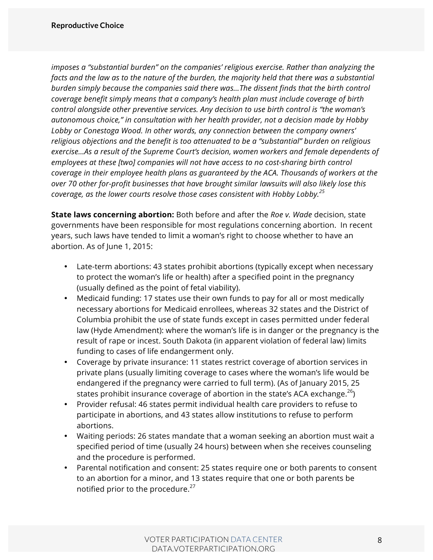*imposes a "substantial burden" on the companies' religious exercise. Rather than analyzing the facts and the law as to the nature of the burden, the majority held that there was a substantial burden simply because the companies said there was…The dissent finds that the birth control coverage benefit simply means that a company's health plan must include coverage of birth control alongside other preventive services. Any decision to use birth control is "the woman's autonomous choice," in consultation with her health provider, not a decision made by Hobby Lobby or Conestoga Wood. In other words, any connection between the company owners' religious objections and the benefit is too attenuated to be a "substantial" burden on religious exercise...As a result of the Supreme Court's decision, women workers and female dependents of employees at these [two] companies will not have access to no cost-sharing birth control coverage in their employee health plans as guaranteed by the ACA. Thousands of workers at the over 70 other for-profit businesses that have brought similar lawsuits will also likely lose this coverage, as the lower courts resolve those cases consistent with Hobby Lobby.<sup>25</sup>*

**State laws concerning abortion:** Both before and after the *Roe v. Wade* decision, state governments have been responsible for most regulations concerning abortion. In recent years, such laws have tended to limit a woman's right to choose whether to have an abortion. As of June 1, 2015:

- Late-term abortions: 43 states prohibit abortions (typically except when necessary to protect the woman's life or health) after a specified point in the pregnancy (usually defined as the point of fetal viability).
- Medicaid funding: 17 states use their own funds to pay for all or most medically necessary abortions for Medicaid enrollees, whereas 32 states and the District of Columbia prohibit the use of state funds except in cases permitted under federal law (Hyde Amendment): where the woman's life is in danger or the pregnancy is the result of rape or incest. South Dakota (in apparent violation of federal law) limits funding to cases of life endangerment only.
- Coverage by private insurance: 11 states restrict coverage of abortion services in private plans (usually limiting coverage to cases where the woman's life would be endangered if the pregnancy were carried to full term). (As of January 2015, 25 states prohibit insurance coverage of abortion in the state's ACA exchange.<sup>26</sup>)
- Provider refusal: 46 states permit individual health care providers to refuse to participate in abortions, and 43 states allow institutions to refuse to perform abortions.
- Waiting periods: 26 states mandate that a woman seeking an abortion must wait a specified period of time (usually 24 hours) between when she receives counseling and the procedure is performed.
- Parental notification and consent: 25 states require one or both parents to consent to an abortion for a minor, and 13 states require that one or both parents be notified prior to the procedure.<sup>27</sup>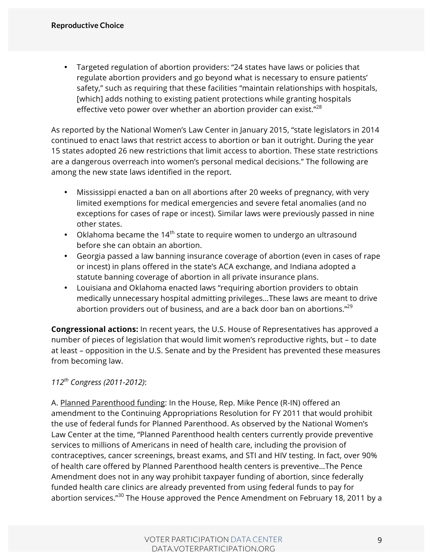• Targeted regulation of abortion providers: "24 states have laws or policies that regulate abortion providers and go beyond what is necessary to ensure patients' safety," such as requiring that these facilities "maintain relationships with hospitals, [which] adds nothing to existing patient protections while granting hospitals effective veto power over whether an abortion provider can exist." $^{28}$ 

As reported by the National Women's Law Center in January 2015, "state legislators in 2014 continued to enact laws that restrict access to abortion or ban it outright. During the year 15 states adopted 26 new restrictions that limit access to abortion. These state restrictions are a dangerous overreach into women's personal medical decisions." The following are among the new state laws identified in the report.

- Mississippi enacted a ban on all abortions after 20 weeks of pregnancy, with very limited exemptions for medical emergencies and severe fetal anomalies (and no exceptions for cases of rape or incest). Similar laws were previously passed in nine other states.
- Oklahoma became the  $14<sup>th</sup>$  state to require women to undergo an ultrasound before she can obtain an abortion.
- Georgia passed a law banning insurance coverage of abortion (even in cases of rape or incest) in plans offered in the state's ACA exchange, and Indiana adopted a statute banning coverage of abortion in all private insurance plans.
- Louisiana and Oklahoma enacted laws "requiring abortion providers to obtain medically unnecessary hospital admitting privileges…These laws are meant to drive abortion providers out of business, and are a back door ban on abortions."<sup>29</sup>

**Congressional actions:** In recent years, the U.S. House of Representatives has approved a number of pieces of legislation that would limit women's reproductive rights, but – to date at least – opposition in the U.S. Senate and by the President has prevented these measures from becoming law.

*112th Congress (2011-2012)*:

A. Planned Parenthood funding: In the House, Rep. Mike Pence (R-IN) offered an amendment to the Continuing Appropriations Resolution for FY 2011 that would prohibit the use of federal funds for Planned Parenthood. As observed by the National Women's Law Center at the time, "Planned Parenthood health centers currently provide preventive services to millions of Americans in need of health care, including the provision of contraceptives, cancer screenings, breast exams, and STI and HIV testing. In fact, over 90% of health care offered by Planned Parenthood health centers is preventive…The Pence Amendment does not in any way prohibit taxpayer funding of abortion, since federally funded health care clinics are already prevented from using federal funds to pay for abortion services."<sup>30</sup> The House approved the Pence Amendment on February 18, 2011 by a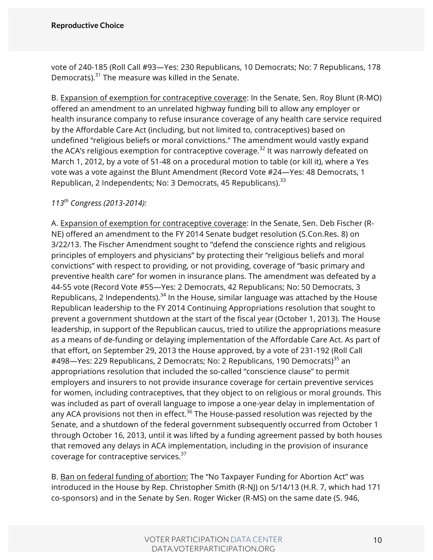vote of 240-185 (Roll Call #93—Yes: 230 Republicans, 10 Democrats; No: 7 Republicans, 178 Democrats).<sup>31</sup> The measure was killed in the Senate.

B. Expansion of exemption for contraceptive coverage: In the Senate, Sen. Roy Blunt (R-MO) offered an amendment to an unrelated highway funding bill to allow any employer or health insurance company to refuse insurance coverage of any health care service required by the Affordable Care Act (including, but not limited to, contraceptives) based on undefined "religious beliefs or moral convictions." The amendment would vastly expand the ACA's religious exemption for contraceptive coverage.<sup>32</sup> It was narrowly defeated on March 1, 2012, by a vote of 51-48 on a procedural motion to table (or kill it), where a Yes vote was a vote against the Blunt Amendment (Record Vote #24—Yes: 48 Democrats, 1 Republican, 2 Independents; No: 3 Democrats, 45 Republicans).<sup>33</sup>

*113th Congress (2013-2014):*

A. Expansion of exemption for contraceptive coverage: In the Senate, Sen. Deb Fischer (R-NE) offered an amendment to the FY 2014 Senate budget resolution (S.Con.Res. 8) on 3/22/13. The Fischer Amendment sought to "defend the conscience rights and religious principles of employers and physicians" by protecting their "religious beliefs and moral convictions" with respect to providing, or not providing, coverage of "basic primary and preventive health care" for women in insurance plans. The amendment was defeated by a 44-55 vote (Record Vote #55—Yes: 2 Democrats, 42 Republicans; No: 50 Democrats, 3 Republicans, 2 Independents).<sup>34</sup> In the House, similar language was attached by the House Republican leadership to the FY 2014 Continuing Appropriations resolution that sought to prevent a government shutdown at the start of the fiscal year (October 1, 2013). The House leadership, in support of the Republican caucus, tried to utilize the appropriations measure as a means of de-funding or delaying implementation of the Affordable Care Act. As part of that effort, on September 29, 2013 the House approved, by a vote of 231-192 (Roll Call #498—Yes: 229 Republicans, 2 Democrats; No: 2 Republicans, 190 Democrats)<sup>35</sup> an appropriations resolution that included the so-called "conscience clause" to permit employers and insurers to not provide insurance coverage for certain preventive services for women, including contraceptives, that they object to on religious or moral grounds. This was included as part of overall language to impose a one-year delay in implementation of any ACA provisions not then in effect.<sup>36</sup> The House-passed resolution was rejected by the Senate, and a shutdown of the federal government subsequently occurred from October 1 through October 16, 2013, until it was lifted by a funding agreement passed by both houses that removed any delays in ACA implementation, including in the provision of insurance coverage for contraceptive services.37

B. Ban on federal funding of abortion: The "No Taxpayer Funding for Abortion Act" was introduced in the House by Rep. Christopher Smith (R-NJ) on 5/14/13 (H.R. 7, which had 171 co-sponsors) and in the Senate by Sen. Roger Wicker (R-MS) on the same date (S. 946,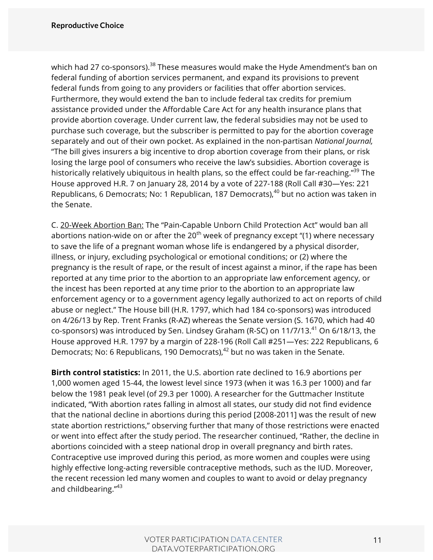which had 27 co-sponsors).<sup>38</sup> These measures would make the Hyde Amendment's ban on federal funding of abortion services permanent, and expand its provisions to prevent federal funds from going to any providers or facilities that offer abortion services. Furthermore, they would extend the ban to include federal tax credits for premium assistance provided under the Affordable Care Act for any health insurance plans that provide abortion coverage. Under current law, the federal subsidies may not be used to purchase such coverage, but the subscriber is permitted to pay for the abortion coverage separately and out of their own pocket. As explained in the non-partisan *National Journal,* "The bill gives insurers a big incentive to drop abortion coverage from their plans, or risk losing the large pool of consumers who receive the law's subsidies. Abortion coverage is historically relatively ubiquitous in health plans, so the effect could be far-reaching."<sup>39</sup> The House approved H.R. 7 on January 28, 2014 by a vote of 227-188 (Roll Call #30—Yes: 221 Republicans, 6 Democrats; No: 1 Republican, 187 Democrats),  $40$  but no action was taken in the Senate.

C. 20-Week Abortion Ban: The "Pain-Capable Unborn Child Protection Act" would ban all abortions nation-wide on or after the  $20<sup>th</sup>$  week of pregnancy except "(1) where necessary to save the life of a pregnant woman whose life is endangered by a physical disorder, illness, or injury, excluding psychological or emotional conditions; or (2) where the pregnancy is the result of rape, or the result of incest against a minor, if the rape has been reported at any time prior to the abortion to an appropriate law enforcement agency, or the incest has been reported at any time prior to the abortion to an appropriate law enforcement agency or to a government agency legally authorized to act on reports of child abuse or neglect." The House bill (H.R. 1797, which had 184 co-sponsors) was introduced on 4/26/13 by Rep. Trent Franks (R-AZ) whereas the Senate version (S. 1670, which had 40 co-sponsors) was introduced by Sen. Lindsey Graham (R-SC) on  $11/7/13.<sup>41</sup>$  On 6/18/13, the House approved H.R. 1797 by a margin of 228-196 (Roll Call #251—Yes: 222 Republicans, 6 Democrats; No: 6 Republicans, 190 Democrats), $42$  but no was taken in the Senate.

**Birth control statistics:** In 2011, the U.S. abortion rate declined to 16.9 abortions per 1,000 women aged 15-44, the lowest level since 1973 (when it was 16.3 per 1000) and far below the 1981 peak level (of 29.3 per 1000). A researcher for the Guttmacher Institute indicated, "With abortion rates falling in almost all states, our study did not find evidence that the national decline in abortions during this period [2008-2011] was the result of new state abortion restrictions," observing further that many of those restrictions were enacted or went into effect after the study period. The researcher continued, "Rather, the decline in abortions coincided with a steep national drop in overall pregnancy and birth rates. Contraceptive use improved during this period, as more women and couples were using highly effective long-acting reversible contraceptive methods, such as the IUD. Moreover, the recent recession led many women and couples to want to avoid or delay pregnancy and childbearing."<sup>43</sup>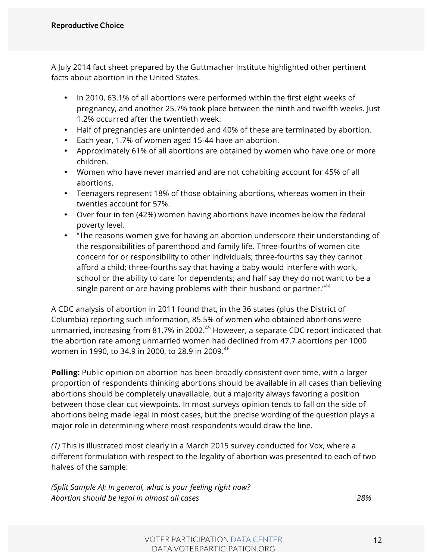A July 2014 fact sheet prepared by the Guttmacher Institute highlighted other pertinent facts about abortion in the United States.

- In 2010, 63.1% of all abortions were performed within the first eight weeks of pregnancy, and another 25.7% took place between the ninth and twelfth weeks. Just 1.2% occurred after the twentieth week.
- Half of pregnancies are unintended and 40% of these are terminated by abortion.
- Each year, 1.7% of women aged 15-44 have an abortion.
- Approximately 61% of all abortions are obtained by women who have one or more children.
- Women who have never married and are not cohabiting account for 45% of all abortions.
- Teenagers represent 18% of those obtaining abortions, whereas women in their twenties account for 57%.
- Over four in ten (42%) women having abortions have incomes below the federal poverty level.
- "The reasons women give for having an abortion underscore their understanding of the responsibilities of parenthood and family life. Three-fourths of women cite concern for or responsibility to other individuals; three-fourths say they cannot afford a child; three-fourths say that having a baby would interfere with work, school or the ability to care for dependents; and half say they do not want to be a single parent or are having problems with their husband or partner."<sup>44</sup>

A CDC analysis of abortion in 2011 found that, in the 36 states (plus the District of Columbia) reporting such information, 85.5% of women who obtained abortions were unmarried, increasing from 81.7% in 2002.<sup>45</sup> However, a separate CDC report indicated that the abortion rate among unmarried women had declined from 47.7 abortions per 1000 women in 1990, to 34.9 in 2000, to 28.9 in 2009.<sup>46</sup>

**Polling:** Public opinion on abortion has been broadly consistent over time, with a larger proportion of respondents thinking abortions should be available in all cases than believing abortions should be completely unavailable, but a majority always favoring a position between those clear cut viewpoints. In most surveys opinion tends to fall on the side of abortions being made legal in most cases, but the precise wording of the question plays a major role in determining where most respondents would draw the line.

*(1)* This is illustrated most clearly in a March 2015 survey conducted for Vox, where a different formulation with respect to the legality of abortion was presented to each of two halves of the sample:

*(Split Sample A): In general, what is your feeling right now? Abortion should be legal in almost all cases 28%*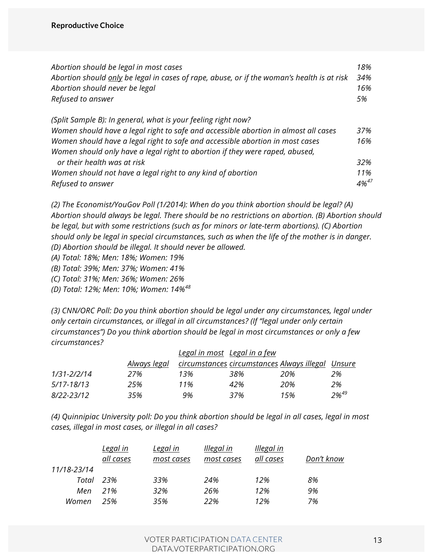| Abortion should be legal in most cases                                                     | 18%        |
|--------------------------------------------------------------------------------------------|------------|
| Abortion should only be legal in cases of rape, abuse, or if the woman's health is at risk | 34%        |
| Abortion should never be legal                                                             | 16%        |
| Refused to answer                                                                          | 5%         |
| (Split Sample B): In general, what is your feeling right now?                              |            |
| Women should have a legal right to safe and accessible abortion in almost all cases        | 37%        |
| Women should have a legal right to safe and accessible abortion in most cases              | 16%        |
| Women should only have a legal right to abortion if they were raped, abused,               |            |
| or their health was at risk                                                                | 32%        |
| Women should not have a legal right to any kind of abortion                                | 11%        |
| Refused to answer                                                                          | $4\%^{47}$ |

*(2) The Economist/YouGov Poll (1/2014): When do you think abortion should be legal? (A) Abortion should always be legal. There should be no restrictions on abortion. (B) Abortion should be legal, but with some restrictions (such as for minors or late-term abortions). (C) Abortion should only be legal in special circumstances, such as when the life of the mother is in danger. (D) Abortion should be illegal. It should never be allowed.*

*(A) Total: 18%; Men: 18%; Women: 19%*

*(B) Total: 39%; Men: 37%; Women: 41%*

*(C) Total: 31%; Men: 36%; Women: 26%*

*(D) Total: 12%; Men: 10%; Women: 14%<sup>48</sup>*

*(3) CNN/ORC Poll: Do you think abortion should be legal under any circumstances, legal under only certain circumstances, or illegal in all circumstances? (If "legal under only certain circumstances") Do you think abortion should be legal in most circumstances or only a few circumstances?*

|             | Legal in most Legal in a few |     |                                                   |     |                  |  |  |
|-------------|------------------------------|-----|---------------------------------------------------|-----|------------------|--|--|
|             | Always legal                 |     | circumstances circumstances Always illegal Unsure |     |                  |  |  |
| 1/31-2/2/14 | 27%                          | 13% | 38%                                               | 20% | 2%               |  |  |
| 5/17-18/13  | 25%                          | 11% | 42%                                               | 20% | 2%               |  |  |
| 8/22-23/12  | 35%                          | 9%  | 37%                                               | 15% | 2% <sup>49</sup> |  |  |

*(4) Quinnipiac University poll: Do you think abortion should be legal in all cases, legal in most cases, illegal in most cases, or illegal in all cases?*

|             | <u>Legal in</u> | Legal in   | <b>Illegal</b> in | <b>Illegal</b> in |            |
|-------------|-----------------|------------|-------------------|-------------------|------------|
|             | all cases       | most cases | most cases        | all cases         | Don't know |
| 11/18-23/14 |                 |            |                   |                   |            |
| Total       | 23%             | 33%        | 24%               | 12%               | 8%         |
| Men         | 21%             | 32%        | 26%               | 12%               | 9%         |
| Women       | 25%             | 35%        | 22%               | 12%               | 7%         |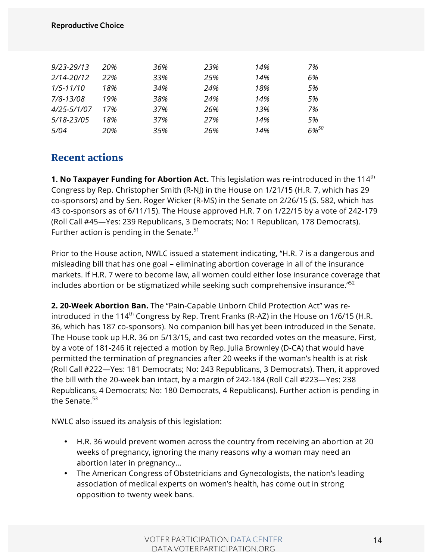#### **Reproductive Choice**

| 20% | 36% | 23% | 14% | 7%         |
|-----|-----|-----|-----|------------|
| 22% | 33% | 25% | 14% | 6%         |
| 18% | 34% | 24% | 18% | 5%         |
| 19% | 38% | 24% | 14% | 5%         |
| 17% | 37% | 26% | 13% | 7%         |
| 18% | 37% | 27% | 14% | .5%        |
| 20% | 35% | 26% | 14% | $6\%^{50}$ |
|     |     |     |     |            |

### Recent actions

**1. No Taxpayer Funding for Abortion Act.** This legislation was re-introduced in the 114<sup>th</sup> Congress by Rep. Christopher Smith (R-NJ) in the House on 1/21/15 (H.R. 7, which has 29 co-sponsors) and by Sen. Roger Wicker (R-MS) in the Senate on 2/26/15 (S. 582, which has 43 co-sponsors as of 6/11/15). The House approved H.R. 7 on 1/22/15 by a vote of 242-179 (Roll Call #45—Yes: 239 Republicans, 3 Democrats; No: 1 Republican, 178 Democrats). Further action is pending in the Senate. $51$ 

Prior to the House action, NWLC issued a statement indicating, "H.R. 7 is a dangerous and misleading bill that has one goal – eliminating abortion coverage in all of the insurance markets. If H.R. 7 were to become law, all women could either lose insurance coverage that includes abortion or be stigmatized while seeking such comprehensive insurance."<sup>52</sup>

**2. 20-Week Abortion Ban.** The "Pain-Capable Unborn Child Protection Act" was reintroduced in the 114<sup>th</sup> Congress by Rep. Trent Franks (R-AZ) in the House on 1/6/15 (H.R. 36, which has 187 co-sponsors). No companion bill has yet been introduced in the Senate. The House took up H.R. 36 on 5/13/15, and cast two recorded votes on the measure. First, by a vote of 181-246 it rejected a motion by Rep. Julia Brownley (D-CA) that would have permitted the termination of pregnancies after 20 weeks if the woman's health is at risk (Roll Call #222—Yes: 181 Democrats; No: 243 Republicans, 3 Democrats). Then, it approved the bill with the 20-week ban intact, by a margin of 242-184 (Roll Call #223—Yes: 238 Republicans, 4 Democrats; No: 180 Democrats, 4 Republicans). Further action is pending in the Senate.<sup>53</sup>

NWLC also issued its analysis of this legislation:

- H.R. 36 would prevent women across the country from receiving an abortion at 20 weeks of pregnancy, ignoring the many reasons why a woman may need an abortion later in pregnancy…
- The American Congress of Obstetricians and Gynecologists, the nation's leading association of medical experts on women's health, has come out in strong opposition to twenty week bans.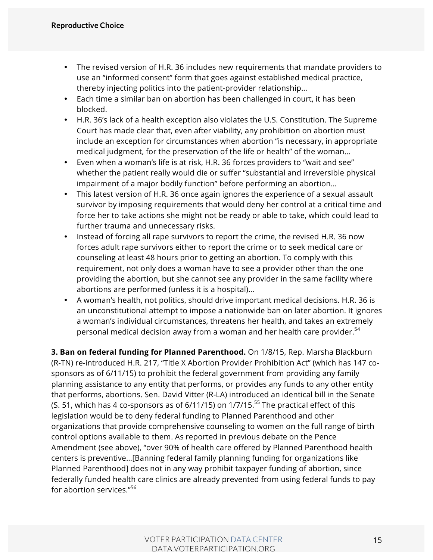- The revised version of H.R. 36 includes new requirements that mandate providers to use an "informed consent" form that goes against established medical practice, thereby injecting politics into the patient-provider relationship…
- Each time a similar ban on abortion has been challenged in court, it has been blocked.
- H.R. 36's lack of a health exception also violates the U.S. Constitution. The Supreme Court has made clear that, even after viability, any prohibition on abortion must include an exception for circumstances when abortion "is necessary, in appropriate medical judgment, for the preservation of the life or health" of the woman…
- Even when a woman's life is at risk, H.R. 36 forces providers to "wait and see" whether the patient really would die or suffer "substantial and irreversible physical impairment of a major bodily function" before performing an abortion…
- This latest version of H.R. 36 once again ignores the experience of a sexual assault survivor by imposing requirements that would deny her control at a critical time and force her to take actions she might not be ready or able to take, which could lead to further trauma and unnecessary risks.
- Instead of forcing all rape survivors to report the crime, the revised H.R. 36 now forces adult rape survivors either to report the crime or to seek medical care or counseling at least 48 hours prior to getting an abortion. To comply with this requirement, not only does a woman have to see a provider other than the one providing the abortion, but she cannot see any provider in the same facility where abortions are performed (unless it is a hospital)…
- A woman's health, not politics, should drive important medical decisions. H.R. 36 is an unconstitutional attempt to impose a nationwide ban on later abortion. It ignores a woman's individual circumstances, threatens her health, and takes an extremely personal medical decision away from a woman and her health care provider.<sup>54</sup>

**3. Ban on federal funding for Planned Parenthood.** On 1/8/15, Rep. Marsha Blackburn (R-TN) re-introduced H.R. 217, "Title X Abortion Provider Prohibition Act" (which has 147 cosponsors as of 6/11/15) to prohibit the federal government from providing any family planning assistance to any entity that performs, or provides any funds to any other entity that performs, abortions. Sen. David Vitter (R-LA) introduced an identical bill in the Senate (S. 51, which has 4 co-sponsors as of  $6/11/15$ ) on  $1/7/15$ .<sup>55</sup> The practical effect of this legislation would be to deny federal funding to Planned Parenthood and other organizations that provide comprehensive counseling to women on the full range of birth control options available to them. As reported in previous debate on the Pence Amendment (see above), "over 90% of health care offered by Planned Parenthood health centers is preventive…[Banning federal family planning funding for organizations like Planned Parenthood] does not in any way prohibit taxpayer funding of abortion, since federally funded health care clinics are already prevented from using federal funds to pay for abortion services."<sup>56</sup>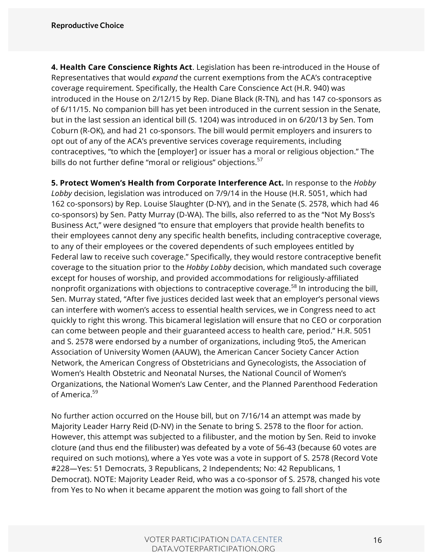**4. Health Care Conscience Rights Act**. Legislation has been re-introduced in the House of Representatives that would *expand* the current exemptions from the ACA's contraceptive coverage requirement. Specifically, the Health Care Conscience Act (H.R. 940) was introduced in the House on 2/12/15 by Rep. Diane Black (R-TN), and has 147 co-sponsors as of 6/11/15. No companion bill has yet been introduced in the current session in the Senate, but in the last session an identical bill (S. 1204) was introduced in on 6/20/13 by Sen. Tom Coburn (R-OK), and had 21 co-sponsors. The bill would permit employers and insurers to opt out of any of the ACA's preventive services coverage requirements, including contraceptives, "to which the [employer] or issuer has a moral or religious objection." The bills do not further define "moral or religious" objections.<sup>57</sup>

**5. Protect Women's Health from Corporate Interference Act.** In response to the *Hobby Lobby* decision, legislation was introduced on 7/9/14 in the House (H.R. 5051, which had 162 co-sponsors) by Rep. Louise Slaughter (D-NY), and in the Senate (S. 2578, which had 46 co-sponsors) by Sen. Patty Murray (D-WA). The bills, also referred to as the "Not My Boss's Business Act," were designed "to ensure that employers that provide health benefits to their employees cannot deny any specific health benefits, including contraceptive coverage, to any of their employees or the covered dependents of such employees entitled by Federal law to receive such coverage." Specifically, they would restore contraceptive benefit coverage to the situation prior to the *Hobby Lobby* decision, which mandated such coverage except for houses of worship, and provided accommodations for religiously-affiliated nonprofit organizations with objections to contraceptive coverage.<sup>58</sup> In introducing the bill, Sen. Murray stated, "After five justices decided last week that an employer's personal views can interfere with women's access to essential health services, we in Congress need to act quickly to right this wrong. This bicameral legislation will ensure that no CEO or corporation can come between people and their guaranteed access to health care, period." H.R. 5051 and S. 2578 were endorsed by a number of organizations, including 9to5, the American Association of University Women (AAUW), the American Cancer Society Cancer Action Network, the American Congress of Obstetricians and Gynecologists, the Association of Women's Health Obstetric and Neonatal Nurses, the National Council of Women's Organizations, the National Women's Law Center, and the Planned Parenthood Federation of America.59

No further action occurred on the House bill, but on 7/16/14 an attempt was made by Majority Leader Harry Reid (D-NV) in the Senate to bring S. 2578 to the floor for action. However, this attempt was subjected to a filibuster, and the motion by Sen. Reid to invoke cloture (and thus end the filibuster) was defeated by a vote of 56-43 (because 60 votes are required on such motions), where a Yes vote was a vote in support of S. 2578 (Record Vote #228—Yes: 51 Democrats, 3 Republicans, 2 Independents; No: 42 Republicans, 1 Democrat). NOTE: Majority Leader Reid, who was a co-sponsor of S. 2578, changed his vote from Yes to No when it became apparent the motion was going to fall short of the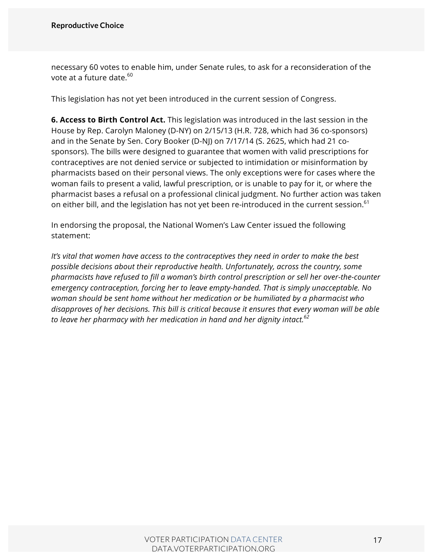necessary 60 votes to enable him, under Senate rules, to ask for a reconsideration of the vote at a future date.<sup>60</sup>

This legislation has not yet been introduced in the current session of Congress.

**6. Access to Birth Control Act.** This legislation was introduced in the last session in the House by Rep. Carolyn Maloney (D-NY) on 2/15/13 (H.R. 728, which had 36 co-sponsors) and in the Senate by Sen. Cory Booker (D-NJ) on 7/17/14 (S. 2625, which had 21 cosponsors). The bills were designed to guarantee that women with valid prescriptions for contraceptives are not denied service or subjected to intimidation or misinformation by pharmacists based on their personal views. The only exceptions were for cases where the woman fails to present a valid, lawful prescription, or is unable to pay for it, or where the pharmacist bases a refusal on a professional clinical judgment. No further action was taken on either bill, and the legislation has not yet been re-introduced in the current session. $^{\rm 61}$ 

In endorsing the proposal, the National Women's Law Center issued the following statement:

*It's vital that women have access to the contraceptives they need in order to make the best possible decisions about their reproductive health. Unfortunately, across the country, some pharmacists have refused to fill a woman's birth control prescription or sell her over-the-counter emergency contraception, forcing her to leave empty-handed. That is simply unacceptable. No woman should be sent home without her medication or be humiliated by a pharmacist who disapproves of her decisions. This bill is critical because it ensures that every woman will be able to leave her pharmacy with her medication in hand and her dignity intact.62*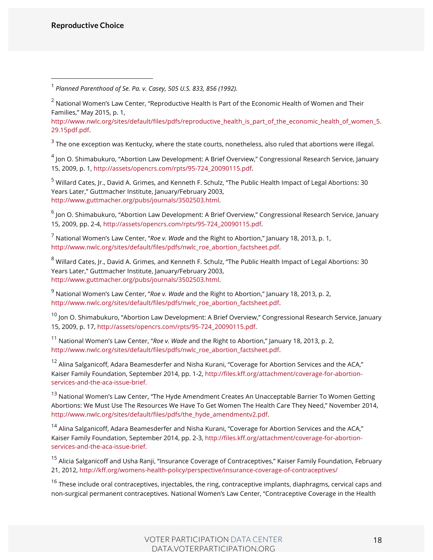http://www.nwlc.org/sites/default/files/pdfs/reproductive\_health\_is\_part\_of\_the\_economic\_health\_of\_women\_5. 29.15pdf.pdf.

 $3$  The one exception was Kentucky, where the state courts, nonetheless, also ruled that abortions were illegal.

<sup>4</sup> Jon O. Shimabukuro, "Abortion Law Development: A Brief Overview," Congressional Research Service, January 15, 2009, p. 1, http://assets/opencrs.com/rpts/95-724\_20090115.pdf.

<sup>5</sup> Willard Cates, Jr., David A. Grimes, and Kenneth F. Schulz, "The Public Health Impact of Legal Abortions: 30 Years Later," Guttmacher Institute, January/February 2003, http://www.guttmacher.org/pubs/journals/3502503.html.

 $^6$  Jon O. Shimabukuro, "Abortion Law Development: A Brief Overview," Congressional Research Service, January 15, 2009, pp. 2-4, http://assets/opencrs.com/rpts/95-724\_20090115.pdf.

<sup>7</sup> National Women's Law Center, "*Roe v. Wade* and the Right to Abortion," January 18, 2013, p. 1, http://www.nwlc.org/sites/default/files/pdfs/nwlc\_roe\_abortion\_factsheet.pdf.

<sup>8</sup> Willard Cates, Jr., David A. Grimes, and Kenneth F. Schulz, "The Public Health Impact of Legal Abortions: 30 Years Later," Guttmacher Institute, January/February 2003, http://www.guttmacher.org/pubs/journals/3502503.html.

<sup>9</sup> National Women's Law Center, "*Roe v. Wade* and the Right to Abortion," January 18, 2013, p. 2, http://www.nwlc.org/sites/default/files/pdfs/nwlc\_roe\_abortion\_factsheet.pdf.

 $10$  Jon O. Shimabukuro, "Abortion Law Development: A Brief Overview," Congressional Research Service, January 15, 2009, p. 17, http://assets/opencrs.com/rpts/95-724\_20090115.pdf.

<sup>11</sup> National Women's Law Center, "*Roe v. Wade* and the Right to Abortion," January 18, 2013, p. 2, http://www.nwlc.org/sites/default/files/pdfs/nwlc\_roe\_abortion\_factsheet.pdf.

<sup>12</sup> Alina Salganicoff, Adara Beamesderfer and Nisha Kurani, "Coverage for Abortion Services and the ACA," Kaiser Family Foundation, September 2014, pp. 1-2, http://files.kff.org/attachment/coverage-for-abortionservices-and-the-aca-issue-brief.

<sup>13</sup> National Women's Law Center, "The Hyde Amendment Creates An Unacceptable Barrier To Women Getting Abortions: We Must Use The Resources We Have To Get Women The Health Care They Need," November 2014, http://www.nwlc.org/sites/default/files/pdfs/the\_hyde\_amendmentv2.pdf.

<sup>14</sup> Alina Salganicoff, Adara Beamesderfer and Nisha Kurani, "Coverage for Abortion Services and the ACA," Kaiser Family Foundation, September 2014, pp. 2-3, http://files.kff.org/attachment/coverage-for-abortionservices-and-the-aca-issue-brief.

<sup>15</sup> Alicia Salganicoff and Usha Ranji, "Insurance Coverage of Contraceptives," Kaiser Family Foundation, February 21, 2012, http://kff.org/womens-health-policy/perspective/insurance-coverage-of-contraceptives/

<sup>16</sup> These include oral contraceptives, injectables, the ring, contraceptive implants, diaphragms, cervical caps and non-surgical permanent contraceptives. National Women's Law Center, "Contraceptive Coverage in the Health

 <sup>1</sup> *Planned Parenthood of Se. Pa. v. Casey, 505 U.S. 833, 856 (1992).* 

 $2$  National Women's Law Center, "Reproductive Health Is Part of the Economic Health of Women and Their Families," May 2015, p. 1,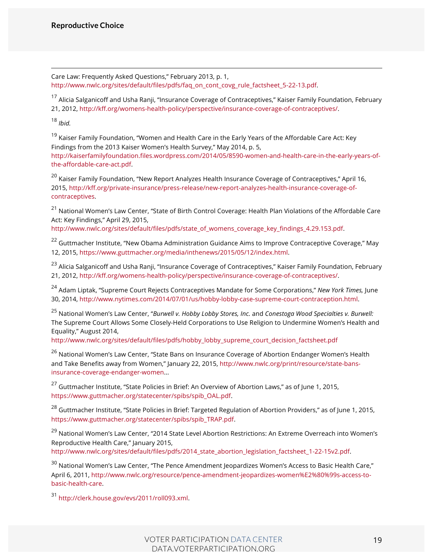Care Law: Frequently Asked Questions," February 2013, p. 1, http://www.nwlc.org/sites/default/files/pdfs/faq\_on\_cont\_covg\_rule\_factsheet\_5-22-13.pdf.

<sup>17</sup> Alicia Salganicoff and Usha Ranji, "Insurance Coverage of Contraceptives," Kaiser Family Foundation, February 21, 2012, http://kff.org/womens-health-policy/perspective/insurance-coverage-of-contraceptives/.

<sup>18</sup> *Ibid.*

<sup>19</sup> Kaiser Family Foundation, "Women and Health Care in the Early Years of the Affordable Care Act: Key Findings from the 2013 Kaiser Women's Health Survey," May 2014, p. 5, http://kaiserfamilyfoundation.files.wordpress.com/2014/05/8590-women-and-health-care-in-the-early-years-ofthe-affordable-care-act.pdf.

<sup>20</sup> Kaiser Family Foundation, "New Report Analyzes Health Insurance Coverage of Contraceptives," April 16, 2015, http://kff.org/private-insurance/press-release/new-report-analyzes-health-insurance-coverage-ofcontraceptives.

<sup>21</sup> National Women's Law Center, "State of Birth Control Coverage: Health Plan Violations of the Affordable Care Act: Key Findings," April 29, 2015,

http://www.nwlc.org/sites/default/files/pdfs/state\_of\_womens\_coverage\_key\_findings\_4.29.153.pdf.

<sup>22</sup> Guttmacher Institute, "New Obama Administration Guidance Aims to Improve Contraceptive Coverage," May 12, 2015, https://www.guttmacher.org/media/inthenews/2015/05/12/index.html.

<sup>23</sup> Alicia Salganicoff and Usha Ranji, "Insurance Coverage of Contraceptives," Kaiser Family Foundation, February 21, 2012, http://kff.org/womens-health-policy/perspective/insurance-coverage-of-contraceptives/.

<sup>24</sup> Adam Liptak, "Supreme Court Rejects Contraceptives Mandate for Some Corporations," *New York Times,* June 30, 2014, http://www.nytimes.com/2014/07/01/us/hobby-lobby-case-supreme-court-contraception.html.

<sup>25</sup> National Women's Law Center, "*Burwell v. Hobby Lobby Stores, Inc.* and *Conestoga Wood Specialties v. Burwell:*  The Supreme Court Allows Some Closely-Held Corporations to Use Religion to Undermine Women's Health and Equality," August 2014,

http://www.nwlc.org/sites/default/files/pdfs/hobby\_lobby\_supreme\_court\_decision\_factsheet.pdf

<sup>26</sup> National Women's Law Center, "State Bans on Insurance Coverage of Abortion Endanger Women's Health and Take Benefits away from Women," January 22, 2015, http://www.nwlc.org/print/resource/state-bansinsurance-coverage-endanger-women...

 $^{27}$  Guttmacher Institute, "State Policies in Brief: An Overview of Abortion Laws," as of June 1, 2015, https://www.guttmacher.org/statecenter/spibs/spib\_OAL.pdf.

<sup>28</sup> Guttmacher Institute, "State Policies in Brief: Targeted Regulation of Abortion Providers," as of June 1, 2015, https://www.guttmacher.org/statecenter/spibs/spib\_TRAP.pdf.

<sup>29</sup> National Women's Law Center, "2014 State Level Abortion Restrictions: An Extreme Overreach into Women's Reproductive Health Care," January 2015, http://www.nwlc.org/sites/default/files/pdfs/2014\_state\_abortion\_legislation\_factsheet\_1-22-15v2.pdf.

<sup>30</sup> National Women's Law Center, "The Pence Amendment Jeopardizes Women's Access to Basic Health Care," April 6, 2011, http://www.nwlc.org/resource/pence-amendment-jeopardizes-women%E2%80%99s-access-tobasic-health-care.

<sup>31</sup> http://clerk.house.gov/evs/2011/roll093.xml.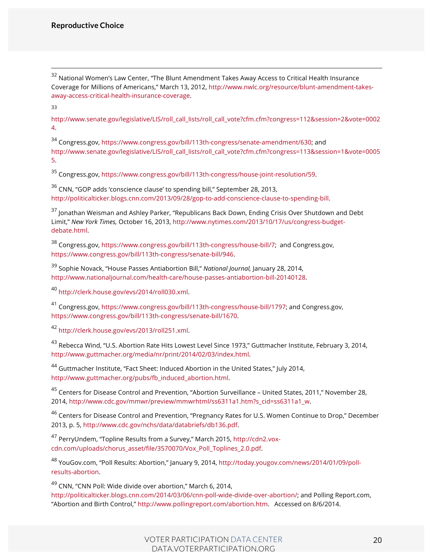<sup>32</sup> National Women's Law Center, "The Blunt Amendment Takes Away Access to Critical Health Insurance Coverage for Millions of Americans," March 13, 2012, http://www.nwlc.org/resource/blunt-amendment-takesaway-access-critical-health-insurance-coverage.

33

http://www.senate.gov/legislative/LIS/roll\_call\_lists/roll\_call\_vote?cfm.cfm?congress=112&session=2&vote=0002 4.

<sup>34</sup> Congress.gov, https://www.congress.gov/bill/113th-congress/senate-amendment/630; and http://www.senate.gov/legislative/LIS/roll\_call\_lists/roll\_call\_vote?cfm.cfm?congress=113&session=1&vote=0005 5.

<sup>35</sup> Congress.gov, https://www.congress.gov/bill/113th-congress/house-joint-resolution/59.

 $36$  CNN, "GOP adds 'conscience clause' to spending bill," September 28, 2013, http://politicalticker.blogs.cnn.com/2013/09/28/gop-to-add-conscience-clause-to-spending-bill.

<sup>37</sup> Jonathan Weisman and Ashley Parker, "Republicans Back Down, Ending Crisis Over Shutdown and Debt Limit," *New York Times,* October 16, 2013, http://www.nytimes.com/2013/10/17/us/congress-budgetdebate.html.

<sup>38</sup> Congress.gov, https://www.congress.gov/bill/113th-congress/house-bill/7; and Congress.gov, https://www.congress.gov/bill/113th-congress/senate-bill/946.

<sup>39</sup> Sophie Novack, "House Passes Antiabortion Bill," *National Journal,* January 28, 2014, http://www.nationaljournal.com/health-care/house-passes-antiabortion-bill-20140128.

<sup>40</sup> http://clerk.house.gov/evs/2014/roll030.xml.

<sup>41</sup> Congress.gov, https://www.congress.gov/bill/113th-congress/house-bill/1797; and Congress.gov, https://www.congress.gov/bill/113th-congress/senate-bill/1670.

<sup>42</sup> http://clerk.house.gov/evs/2013/roll251.xml.

<sup>43</sup> Rebecca Wind, "U.S. Abortion Rate Hits Lowest Level Since 1973," Guttmacher Institute, February 3, 2014, http://www.guttmacher.org/media/nr/print/2014/02/03/index.html.

<sup>44</sup> Guttmacher Institute, "Fact Sheet: Induced Abortion in the United States," July 2014, http://www.guttmacher.org/pubs/fb\_induced\_abortion.html.

<sup>45</sup> Centers for Disease Control and Prevention, "Abortion Surveillance – United States, 2011," November 28, 2014, http://www.cdc.gov/mmwr/preview/mmwrhtml/ss6311a1.htm?s\_cid=ss6311a1\_w.

<sup>46</sup> Centers for Disease Control and Prevention, "Pregnancy Rates for U.S. Women Continue to Drop," December 2013, p. 5, http://www.cdc.gov/nchs/data/databriefs/db136.pdf.

<sup>47</sup> PerryUndem, "Topline Results from a Survey," March 2015, http://cdn2.voxcdn.com/uploads/chorus\_asset/file/3570070/Vox\_Poll\_Toplines\_2.0.pdf.

<sup>48</sup> YouGov.com, "Poll Results: Abortion," January 9, 2014, http://today.yougov.com/news/2014/01/09/pollresults-abortion.

 $49$  CNN, "CNN Poll: Wide divide over abortion," March 6, 2014, http://politicalticker.blogs.cnn.com/2014/03/06/cnn-poll-wide-divide-over-abortion/; and Polling Report.com, "Abortion and Birth Control," http://www.pollingreport.com/abortion.htm. Accessed on 8/6/2014.